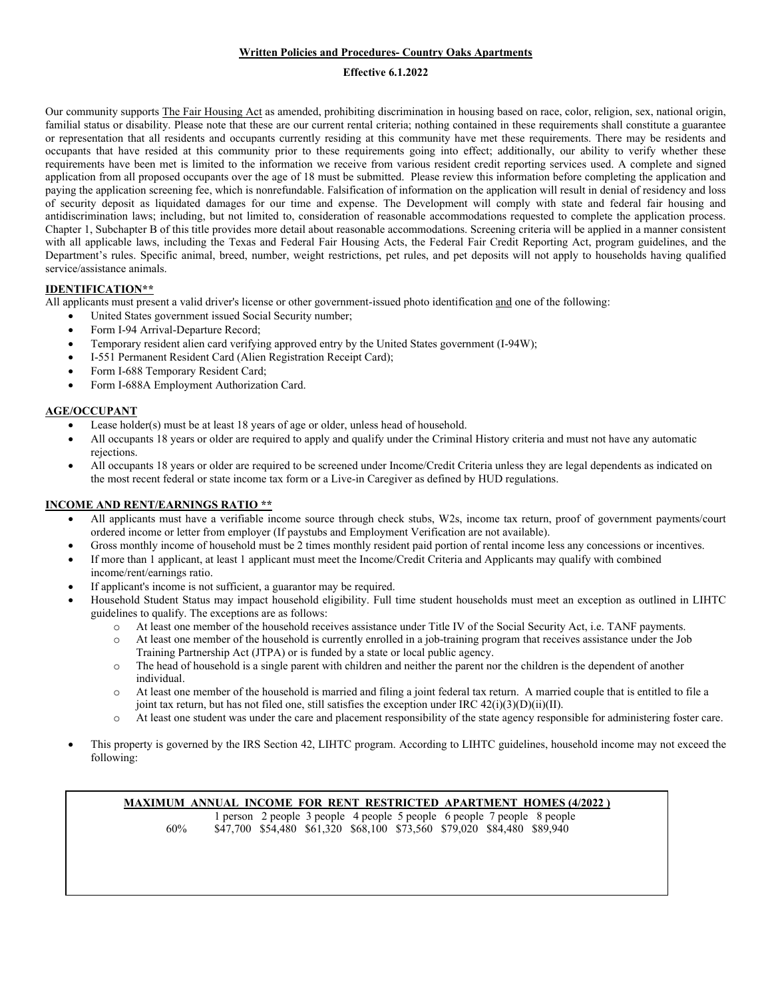# **Written Policies and Procedures- Country Oaks Apartments**

## **Effective 6.1.2022**

Our community supports The Fair Housing Act as amended, prohibiting discrimination in housing based on race, color, religion, sex, national origin, familial status or disability. Please note that these are our current rental criteria; nothing contained in these requirements shall constitute a guarantee or representation that all residents and occupants currently residing at this community have met these requirements. There may be residents and occupants that have resided at this community prior to these requirements going into effect; additionally, our ability to verify whether these requirements have been met is limited to the information we receive from various resident credit reporting services used. A complete and signed application from all proposed occupants over the age of 18 must be submitted. Please review this information before completing the application and paying the application screening fee, which is nonrefundable. Falsification of information on the application will result in denial of residency and loss of security deposit as liquidated damages for our time and expense. The Development will comply with state and federal fair housing and antidiscrimination laws; including, but not limited to, consideration of reasonable accommodations requested to complete the application process. Chapter 1, Subchapter B of this title provides more detail about reasonable accommodations. Screening criteria will be applied in a manner consistent with all applicable laws, including the Texas and Federal Fair Housing Acts, the Federal Fair Credit Reporting Act, program guidelines, and the Department's rules. Specific animal, breed, number, weight restrictions, pet rules, and pet deposits will not apply to households having qualified service/assistance animals.

# **IDENTIFICATION\*\***

All applicants must present a valid driver's license or other government-issued photo identification and one of the following:

- United States government issued Social Security number;
- Form I-94 Arrival-Departure Record;
- Temporary resident alien card verifying approved entry by the United States government (I-94W);
- I-551 Permanent Resident Card (Alien Registration Receipt Card);
- Form I-688 Temporary Resident Card;
- Form I-688A Employment Authorization Card.

## **AGE/OCCUPANT**

- Lease holder(s) must be at least 18 years of age or older, unless head of household.
- All occupants 18 years or older are required to apply and qualify under the Criminal History criteria and must not have any automatic rejections.
- All occupants 18 years or older are required to be screened under Income/Credit Criteria unless they are legal dependents as indicated on the most recent federal or state income tax form or a Live-in Caregiver as defined by HUD regulations.

# **INCOME AND RENT/EARNINGS RATIO \*\***

- All applicants must have a verifiable income source through check stubs, W2s, income tax return, proof of government payments/court ordered income or letter from employer (If paystubs and Employment Verification are not available).
- Gross monthly income of household must be 2 times monthly resident paid portion of rental income less any concessions or incentives.
- If more than 1 applicant, at least 1 applicant must meet the Income/Credit Criteria and Applicants may qualify with combined income/rent/earnings ratio.
- If applicant's income is not sufficient, a guarantor may be required.
- Household Student Status may impact household eligibility. Full time student households must meet an exception as outlined in LIHTC guidelines to qualify. The exceptions are as follows:
	- o At least one member of the household receives assistance under Title IV of the Social Security Act, i.e. TANF payments.
	- o At least one member of the household is currently enrolled in a job-training program that receives assistance under the Job Training Partnership Act (JTPA) or is funded by a state or local public agency.
	- o The head of household is a single parent with children and neither the parent nor the children is the dependent of another individual.
	- o At least one member of the household is married and filing a joint federal tax return. A married couple that is entitled to file a joint tax return, but has not filed one, still satisfies the exception under IRC  $42(i)(3)(D)(ii)(II)$ .
	- o At least one student was under the care and placement responsibility of the state agency responsible for administering foster care.
- This property is governed by the IRS Section 42, LIHTC program. According to LIHTC guidelines, household income may not exceed the following:

# **MAXIMUM ANNUAL INCOME FOR RENT RESTRICTED APARTMENT HOMES (4/2022 )**

1 person 2 people 3 people 4 people 5 people 6 people 7 people 8 people 60% \$47,700 \$54,480 \$61,320 \$68,100 \$73,560 \$79,020 \$84,480 \$89,940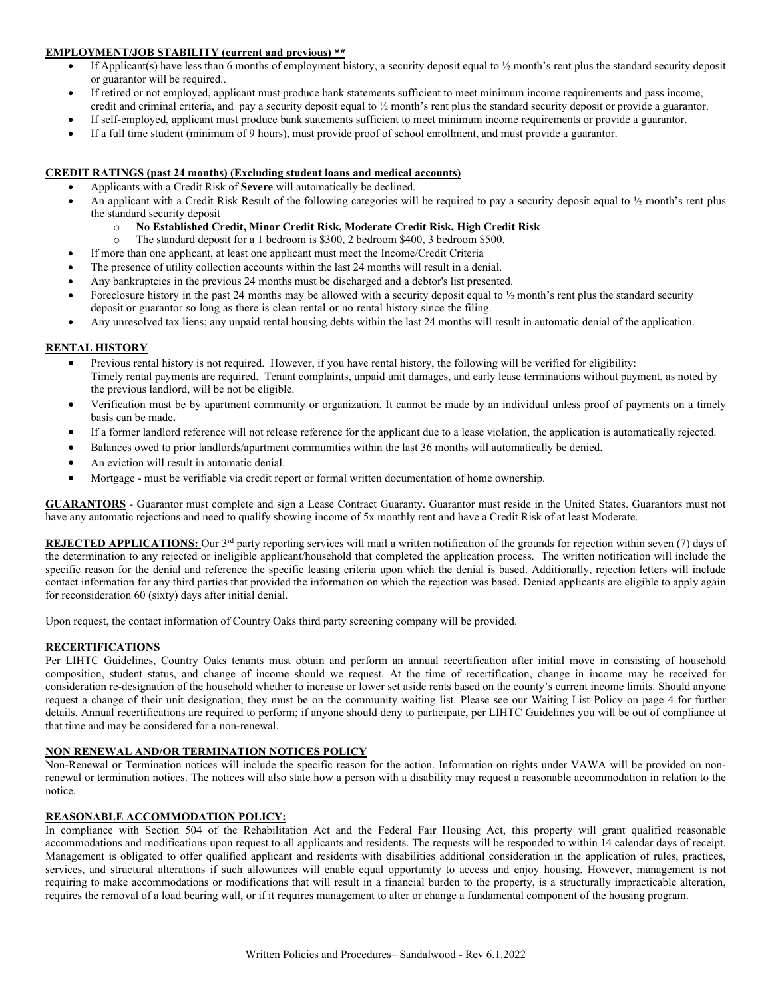# **EMPLOYMENT/JOB STABILITY (current and previous) \*\***

- If Applicant(s) have less than 6 months of employment history, a security deposit equal to  $\frac{1}{2}$  month's rent plus the standard security deposit or guarantor will be required..
- If retired or not employed, applicant must produce bank statements sufficient to meet minimum income requirements and pass income, credit and criminal criteria, and pay a security deposit equal to ½ month's rent plus the standard security deposit or provide a guarantor.
- If self-employed, applicant must produce bank statements sufficient to meet minimum income requirements or provide a guarantor.
- If a full time student (minimum of 9 hours), must provide proof of school enrollment, and must provide a guarantor.

# **CREDIT RATINGS (past 24 months) (Excluding student loans and medical accounts)**

- Applicants with a Credit Risk of **Severe** will automatically be declined.
- An applicant with a Credit Risk Result of the following categories will be required to pay a security deposit equal to  $\frac{1}{2}$  month's rent plus the standard security deposit
	- o **No Established Credit, Minor Credit Risk, Moderate Credit Risk, High Credit Risk**
	- The standard deposit for a 1 bedroom is \$300, 2 bedroom \$400, 3 bedroom \$500.
- If more than one applicant, at least one applicant must meet the Income/Credit Criteria
- The presence of utility collection accounts within the last 24 months will result in a denial.
- Any bankruptcies in the previous 24 months must be discharged and a debtor's list presented.
- Foreclosure history in the past 24 months may be allowed with a security deposit equal to ½ month's rent plus the standard security deposit or guarantor so long as there is clean rental or no rental history since the filing.
- Any unresolved tax liens; any unpaid rental housing debts within the last 24 months will result in automatic denial of the application.

## **RENTAL HISTORY**

- Previous rental history is not required. However, if you have rental history, the following will be verified for eligibility: Timely rental payments are required. Tenant complaints, unpaid unit damages, and early lease terminations without payment, as noted by the previous landlord, will be not be eligible.
- Verification must be by apartment community or organization. It cannot be made by an individual unless proof of payments on a timely basis can be made**.**
- If a former landlord reference will not release reference for the applicant due to a lease violation, the application is automatically rejected.
- Balances owed to prior landlords/apartment communities within the last 36 months will automatically be denied.
- An eviction will result in automatic denial.
- Mortgage must be verifiable via credit report or formal written documentation of home ownership.

**GUARANTORS** - Guarantor must complete and sign a Lease Contract Guaranty. Guarantor must reside in the United States. Guarantors must not have any automatic rejections and need to qualify showing income of 5x monthly rent and have a Credit Risk of at least Moderate.

**REJECTED APPLICATIONS:** Our 3<sup>rd</sup> party reporting services will mail a written notification of the grounds for rejection within seven (7) days of the determination to any rejected or ineligible applicant/household that completed the application process. The written notification will include the specific reason for the denial and reference the specific leasing criteria upon which the denial is based. Additionally, rejection letters will include contact information for any third parties that provided the information on which the rejection was based. Denied applicants are eligible to apply again for reconsideration 60 (sixty) days after initial denial.

Upon request, the contact information of Country Oaks third party screening company will be provided.

#### **RECERTIFICATIONS**

Per LIHTC Guidelines, Country Oaks tenants must obtain and perform an annual recertification after initial move in consisting of household composition, student status, and change of income should we request. At the time of recertification, change in income may be received for consideration re-designation of the household whether to increase or lower set aside rents based on the county's current income limits. Should anyone request a change of their unit designation; they must be on the community waiting list. Please see our Waiting List Policy on page 4 for further details. Annual recertifications are required to perform; if anyone should deny to participate, per LIHTC Guidelines you will be out of compliance at that time and may be considered for a non-renewal.

# **NON RENEWAL AND/OR TERMINATION NOTICES POLICY**

Non-Renewal or Termination notices will include the specific reason for the action. Information on rights under VAWA will be provided on nonrenewal or termination notices. The notices will also state how a person with a disability may request a reasonable accommodation in relation to the notice.

### **REASONABLE ACCOMMODATION POLICY:**

In compliance with Section 504 of the Rehabilitation Act and the Federal Fair Housing Act, this property will grant qualified reasonable accommodations and modifications upon request to all applicants and residents. The requests will be responded to within 14 calendar days of receipt. Management is obligated to offer qualified applicant and residents with disabilities additional consideration in the application of rules, practices, services, and structural alterations if such allowances will enable equal opportunity to access and enjoy housing. However, management is not requiring to make accommodations or modifications that will result in a financial burden to the property, is a structurally impracticable alteration, requires the removal of a load bearing wall, or if it requires management to alter or change a fundamental component of the housing program.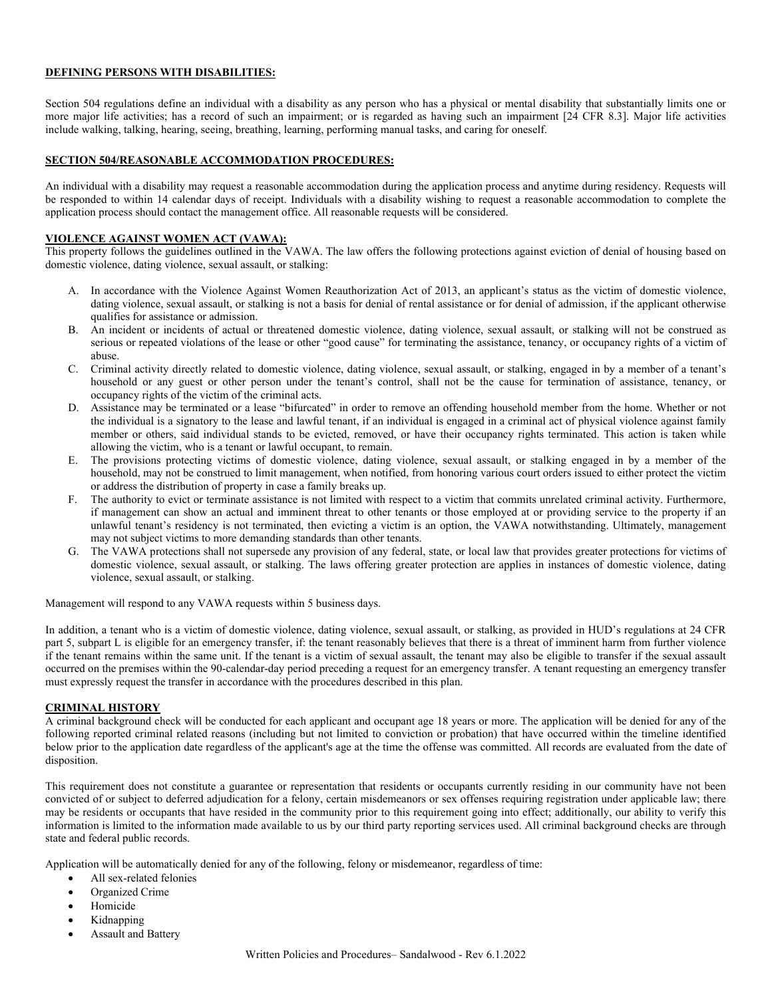# **DEFINING PERSONS WITH DISABILITIES:**

Section 504 regulations define an individual with a disability as any person who has a physical or mental disability that substantially limits one or more major life activities; has a record of such an impairment; or is regarded as having such an impairment [24 CFR 8.3]. Major life activities include walking, talking, hearing, seeing, breathing, learning, performing manual tasks, and caring for oneself.

### **SECTION 504/REASONABLE ACCOMMODATION PROCEDURES:**

An individual with a disability may request a reasonable accommodation during the application process and anytime during residency. Requests will be responded to within 14 calendar days of receipt. Individuals with a disability wishing to request a reasonable accommodation to complete the application process should contact the management office. All reasonable requests will be considered.

#### **VIOLENCE AGAINST WOMEN ACT (VAWA):**

This property follows the guidelines outlined in the VAWA. The law offers the following protections against eviction of denial of housing based on domestic violence, dating violence, sexual assault, or stalking:

- A. In accordance with the Violence Against Women Reauthorization Act of 2013, an applicant's status as the victim of domestic violence, dating violence, sexual assault, or stalking is not a basis for denial of rental assistance or for denial of admission, if the applicant otherwise qualifies for assistance or admission.
- B. An incident or incidents of actual or threatened domestic violence, dating violence, sexual assault, or stalking will not be construed as serious or repeated violations of the lease or other "good cause" for terminating the assistance, tenancy, or occupancy rights of a victim of abuse.
- C. Criminal activity directly related to domestic violence, dating violence, sexual assault, or stalking, engaged in by a member of a tenant's household or any guest or other person under the tenant's control, shall not be the cause for termination of assistance, tenancy, or occupancy rights of the victim of the criminal acts.
- D. Assistance may be terminated or a lease "bifurcated" in order to remove an offending household member from the home. Whether or not the individual is a signatory to the lease and lawful tenant, if an individual is engaged in a criminal act of physical violence against family member or others, said individual stands to be evicted, removed, or have their occupancy rights terminated. This action is taken while allowing the victim, who is a tenant or lawful occupant, to remain.
- E. The provisions protecting victims of domestic violence, dating violence, sexual assault, or stalking engaged in by a member of the household, may not be construed to limit management, when notified, from honoring various court orders issued to either protect the victim or address the distribution of property in case a family breaks up.
- The authority to evict or terminate assistance is not limited with respect to a victim that commits unrelated criminal activity. Furthermore, if management can show an actual and imminent threat to other tenants or those employed at or providing service to the property if an unlawful tenant's residency is not terminated, then evicting a victim is an option, the VAWA notwithstanding. Ultimately, management may not subject victims to more demanding standards than other tenants.
- The VAWA protections shall not supersede any provision of any federal, state, or local law that provides greater protections for victims of domestic violence, sexual assault, or stalking. The laws offering greater protection are applies in instances of domestic violence, dating violence, sexual assault, or stalking.

Management will respond to any VAWA requests within 5 business days.

In addition, a tenant who is a victim of domestic violence, dating violence, sexual assault, or stalking, as provided in HUD's regulations at 24 CFR part 5, subpart L is eligible for an emergency transfer, if: the tenant reasonably believes that there is a threat of imminent harm from further violence if the tenant remains within the same unit. If the tenant is a victim of sexual assault, the tenant may also be eligible to transfer if the sexual assault occurred on the premises within the 90-calendar-day period preceding a request for an emergency transfer. A tenant requesting an emergency transfer must expressly request the transfer in accordance with the procedures described in this plan.

#### **CRIMINAL HISTORY**

A criminal background check will be conducted for each applicant and occupant age 18 years or more. The application will be denied for any of the following reported criminal related reasons (including but not limited to conviction or probation) that have occurred within the timeline identified below prior to the application date regardless of the applicant's age at the time the offense was committed. All records are evaluated from the date of disposition.

This requirement does not constitute a guarantee or representation that residents or occupants currently residing in our community have not been convicted of or subject to deferred adjudication for a felony, certain misdemeanors or sex offenses requiring registration under applicable law; there may be residents or occupants that have resided in the community prior to this requirement going into effect; additionally, our ability to verify this information is limited to the information made available to us by our third party reporting services used. All criminal background checks are through state and federal public records.

Application will be automatically denied for any of the following, felony or misdemeanor, regardless of time:

- All sex-related felonies
- Organized Crime
- **Homicide**
- Kidnapping
- Assault and Battery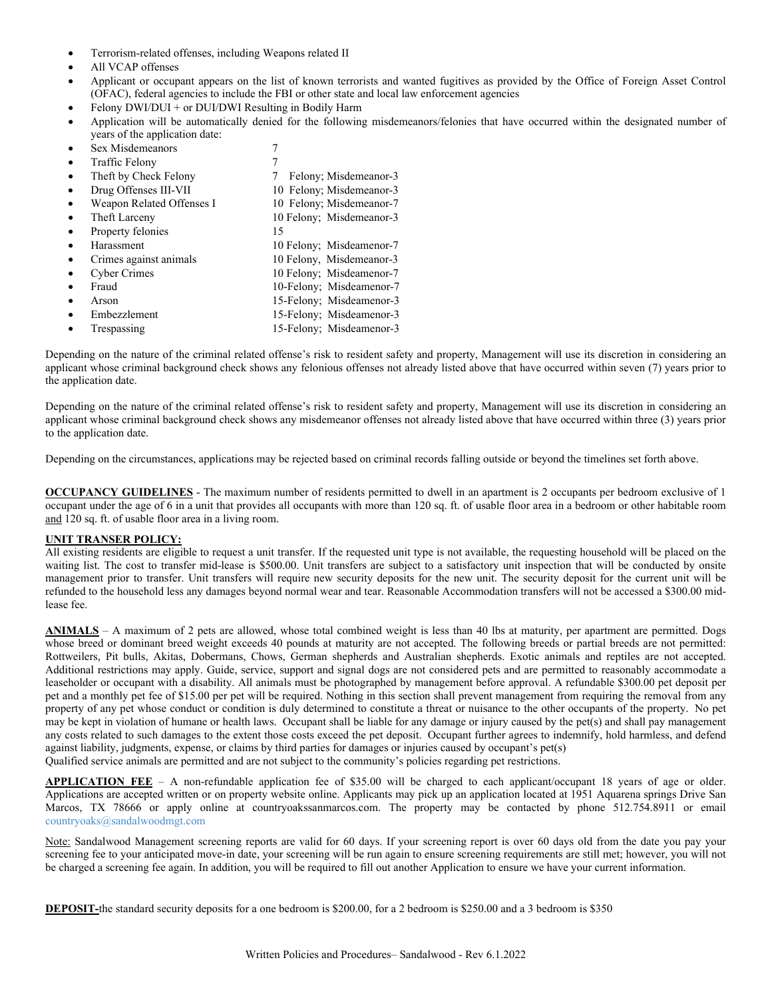- Terrorism-related offenses, including Weapons related II
- All VCAP offenses
- Applicant or occupant appears on the list of known terrorists and wanted fugitives as provided by the Office of Foreign Asset Control (OFAC), federal agencies to include the FBI or other state and local law enforcement agencies
- Felony DWI/DUI + or DUI/DWI Resulting in Bodily Harm
- Application will be automatically denied for the following misdemeanors/felonies that have occurred within the designated number of years of the application date:
- Sex Misdemeanors 7
- Traffic Felony 7

| <b>Hallic</b> Perolly     |                          |
|---------------------------|--------------------------|
| Theft by Check Felony     | Felony; Misdemeanor-3    |
| Drug Offenses III-VII     | 10 Felony; Misdemeanor-3 |
| Weapon Related Offenses I | 10 Felony; Misdemeanor-7 |
| Theft Larceny             | 10 Felony; Misdemeanor-3 |
| Property felonies         | 15                       |
| Harassment                | 10 Felony; Misdeamenor-7 |
| Crimes against animals    | 10 Felony, Misdemeanor-3 |
| <b>Cyber Crimes</b>       | 10 Felony; Misdeamenor-7 |
| Fraud                     | 10-Felony; Misdeamenor-7 |
| Arson                     | 15-Felony; Misdeamenor-3 |
| Embezzlement              | 15-Felony; Misdeamenor-3 |
| Trespassing               | 15-Felony; Misdeamenor-3 |

Depending on the nature of the criminal related offense's risk to resident safety and property, Management will use its discretion in considering an applicant whose criminal background check shows any felonious offenses not already listed above that have occurred within seven (7) years prior to the application date.

Depending on the nature of the criminal related offense's risk to resident safety and property, Management will use its discretion in considering an applicant whose criminal background check shows any misdemeanor offenses not already listed above that have occurred within three (3) years prior to the application date.

Depending on the circumstances, applications may be rejected based on criminal records falling outside or beyond the timelines set forth above.

**OCCUPANCY GUIDELINES** - The maximum number of residents permitted to dwell in an apartment is 2 occupants per bedroom exclusive of 1 occupant under the age of 6 in a unit that provides all occupants with more than 120 sq. ft. of usable floor area in a bedroom or other habitable room and 120 sq. ft. of usable floor area in a living room.

# **UNIT TRANSER POLICY:**

All existing residents are eligible to request a unit transfer. If the requested unit type is not available, the requesting household will be placed on the waiting list. The cost to transfer mid-lease is \$500.00. Unit transfers are subject to a satisfactory unit inspection that will be conducted by onsite management prior to transfer. Unit transfers will require new security deposits for the new unit. The security deposit for the current unit will be refunded to the household less any damages beyond normal wear and tear. Reasonable Accommodation transfers will not be accessed a \$300.00 midlease fee.

**ANIMALS** – A maximum of 2 pets are allowed, whose total combined weight is less than 40 lbs at maturity, per apartment are permitted. Dogs whose breed or dominant breed weight exceeds 40 pounds at maturity are not accepted. The following breeds or partial breeds are not permitted: Rottweilers, Pit bulls, Akitas, Dobermans, Chows, German shepherds and Australian shepherds. Exotic animals and reptiles are not accepted. Additional restrictions may apply. Guide, service, support and signal dogs are not considered pets and are permitted to reasonably accommodate a leaseholder or occupant with a disability. All animals must be photographed by management before approval. A refundable \$300.00 pet deposit per pet and a monthly pet fee of \$15.00 per pet will be required. Nothing in this section shall prevent management from requiring the removal from any property of any pet whose conduct or condition is duly determined to constitute a threat or nuisance to the other occupants of the property. No pet may be kept in violation of humane or health laws. Occupant shall be liable for any damage or injury caused by the pet(s) and shall pay management any costs related to such damages to the extent those costs exceed the pet deposit. Occupant further agrees to indemnify, hold harmless, and defend against liability, judgments, expense, or claims by third parties for damages or injuries caused by occupant's pet(s) Qualified service animals are permitted and are not subject to the community's policies regarding pet restrictions.

**APPLICATION FEE** – A non-refundable application fee of \$35.00 will be charged to each applicant/occupant 18 years of age or older. Applications are accepted written or on property website online. Applicants may pick up an application located at 1951 Aquarena springs Drive San Marcos, TX 78666 or apply online at countryoakssanmarcos.com. The property may be contacted by phone 512.754.8911 or email [countryoaks@sandalwoodmgt.com](mailto:countryoaks@sandalwoodmgt.com) 

Note: Sandalwood Management screening reports are valid for 60 days. If your screening report is over 60 days old from the date you pay your screening fee to your anticipated move-in date, your screening will be run again to ensure screening requirements are still met; however, you will not be charged a screening fee again. In addition, you will be required to fill out another Application to ensure we have your current information.

**DEPOSIT-**the standard security deposits for a one bedroom is \$200.00, for a 2 bedroom is \$250.00 and a 3 bedroom is \$350